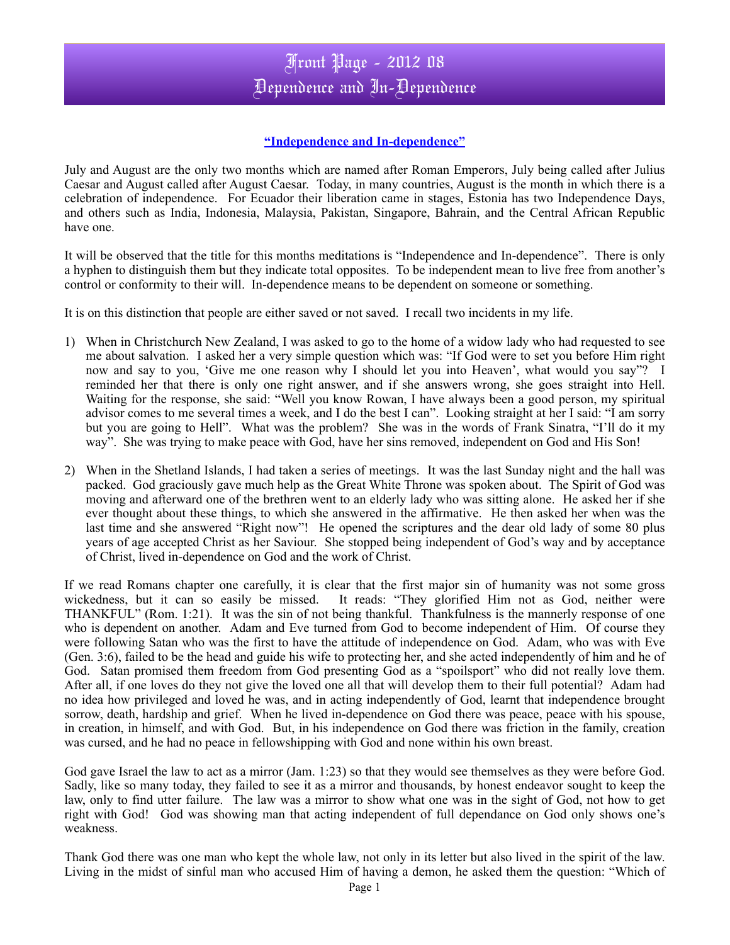## Front Page - 2012 08 Dependence and In-Dependence

## **"Independence and In-dependence"**

July and August are the only two months which are named after Roman Emperors, July being called after Julius Caesar and August called after August Caesar. Today, in many countries, August is the month in which there is a celebration of independence. For Ecuador their liberation came in stages, Estonia has two Independence Days, and others such as India, Indonesia, Malaysia, Pakistan, Singapore, Bahrain, and the Central African Republic have one.

It will be observed that the title for this months meditations is "Independence and In-dependence". There is only a hyphen to distinguish them but they indicate total opposites. To be independent mean to live free from another's control or conformity to their will. In-dependence means to be dependent on someone or something.

It is on this distinction that people are either saved or not saved. I recall two incidents in my life.

- 1) When in Christchurch New Zealand, I was asked to go to the home of a widow lady who had requested to see me about salvation. I asked her a very simple question which was: "If God were to set you before Him right now and say to you, 'Give me one reason why I should let you into Heaven', what would you say"? I reminded her that there is only one right answer, and if she answers wrong, she goes straight into Hell. Waiting for the response, she said: "Well you know Rowan, I have always been a good person, my spiritual advisor comes to me several times a week, and I do the best I can". Looking straight at her I said: "I am sorry but you are going to Hell". What was the problem? She was in the words of Frank Sinatra, "I'll do it my way". She was trying to make peace with God, have her sins removed, independent on God and His Son!
- 2) When in the Shetland Islands, I had taken a series of meetings. It was the last Sunday night and the hall was packed. God graciously gave much help as the Great White Throne was spoken about. The Spirit of God was moving and afterward one of the brethren went to an elderly lady who was sitting alone. He asked her if she ever thought about these things, to which she answered in the affirmative. He then asked her when was the last time and she answered "Right now"! He opened the scriptures and the dear old lady of some 80 plus years of age accepted Christ as her Saviour. She stopped being independent of God's way and by acceptance of Christ, lived in-dependence on God and the work of Christ.

If we read Romans chapter one carefully, it is clear that the first major sin of humanity was not some gross wickedness, but it can so easily be missed. It reads: "They glorified Him not as God, neither were THANKFUL" (Rom. 1:21). It was the sin of not being thankful. Thankfulness is the mannerly response of one who is dependent on another. Adam and Eve turned from God to become independent of Him. Of course they were following Satan who was the first to have the attitude of independence on God. Adam, who was with Eve (Gen. 3:6), failed to be the head and guide his wife to protecting her, and she acted independently of him and he of God. Satan promised them freedom from God presenting God as a "spoilsport" who did not really love them. After all, if one loves do they not give the loved one all that will develop them to their full potential? Adam had no idea how privileged and loved he was, and in acting independently of God, learnt that independence brought sorrow, death, hardship and grief. When he lived in-dependence on God there was peace, peace with his spouse, in creation, in himself, and with God. But, in his independence on God there was friction in the family, creation was cursed, and he had no peace in fellowshipping with God and none within his own breast.

God gave Israel the law to act as a mirror (Jam. 1:23) so that they would see themselves as they were before God. Sadly, like so many today, they failed to see it as a mirror and thousands, by honest endeavor sought to keep the law, only to find utter failure. The law was a mirror to show what one was in the sight of God, not how to get right with God! God was showing man that acting independent of full dependance on God only shows one's weakness.

Thank God there was one man who kept the whole law, not only in its letter but also lived in the spirit of the law. Living in the midst of sinful man who accused Him of having a demon, he asked them the question: "Which of